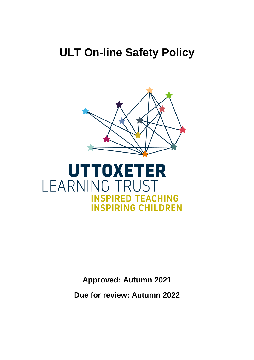# **ULT On-line Safety Policy**





**Approved: Autumn 2021**

**Due for review: Autumn 2022**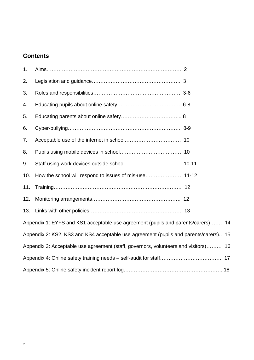## **Contents**

| 1.                                                                                  |                                                                                      |  |  |
|-------------------------------------------------------------------------------------|--------------------------------------------------------------------------------------|--|--|
| 2.                                                                                  |                                                                                      |  |  |
| 3.                                                                                  |                                                                                      |  |  |
| 4.                                                                                  |                                                                                      |  |  |
| 5.                                                                                  |                                                                                      |  |  |
| 6.                                                                                  |                                                                                      |  |  |
| 7.                                                                                  |                                                                                      |  |  |
| 8.                                                                                  |                                                                                      |  |  |
| 9.                                                                                  |                                                                                      |  |  |
| 10.                                                                                 |                                                                                      |  |  |
| 11.                                                                                 |                                                                                      |  |  |
| 12.                                                                                 |                                                                                      |  |  |
| 13.                                                                                 |                                                                                      |  |  |
| Appendix 1: EYFS and KS1 acceptable use agreement (pupils and parents/carers) 14    |                                                                                      |  |  |
|                                                                                     | Appendix 2: KS2, KS3 and KS4 acceptable use agreement (pupils and parents/carers) 15 |  |  |
| Appendix 3: Acceptable use agreement (staff, governors, volunteers and visitors) 16 |                                                                                      |  |  |
|                                                                                     |                                                                                      |  |  |
|                                                                                     |                                                                                      |  |  |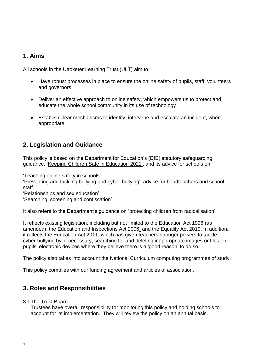## **1. Aims**

All schools in the Uttoxeter Learning Trust (ULT) aim to:

- Have robust processes in place to ensure the online safety of pupils, staff, volunteers and governors
- Deliver an effective approach to online safety, which empowers us to protect and educate the whole school community in its use of technology
- Establish clear mechanisms to identify, intervene and escalate an incident, where appropriate

## **2. Legislation and Guidance**

This policy is based on the Department for Education's (DfE) statutory safeguarding guidance, ['Keeping Children Safe in Education](https://www.gov.uk/government/publications/keeping-children-safe-in-education--2) 2021', and its advice for schools on:

['Teaching online safety in schools'](https://www.gov.uk/government/publications/teaching-online-safety-in-schools)

['Preventing and tackling bullying](https://www.gov.uk/government/publications/preventing-and-tackling-bullying) and [cyber-bullying': advice for headteachers and school](https://www.gov.uk/government/publications/preventing-and-tackling-bullying)  [staff](https://www.gov.uk/government/publications/preventing-and-tackling-bullying)

['Relationships and sex education'](https://www.gov.uk/government/publications/relationships-education-relationships-and-sex-education-rse-and-health-education)

['Searching, screening and confiscation'](https://www.gov.uk/government/publications/searching-screening-and-confiscation)

It also refers to the Department's guidance on ['protecting children from radicalisation'](https://www.gov.uk/government/publications/protecting-children-from-radicalisation-the-prevent-duty).

It reflects existing legislation, including but not limited to the [Education Act 1996](https://www.legislation.gov.uk/ukpga/1996/56/contents) (as amended), the [Education and Inspections Act 2006,](https://www.legislation.gov.uk/ukpga/2006/40/contents) and the [Equality Act 2010.](https://www.legislation.gov.uk/ukpga/2010/15/contents) In addition, it reflects the [Education Act 2011,](http://www.legislation.gov.uk/ukpga/2011/21/contents/enacted) which has given teachers stronger powers to tackle cyber-bullying by, if necessary, searching for and deleting inappropriate images or files on pupils' electronic devices where they believe there is a 'good reason' to do so.

The policy also takes into account the National Curriculum computing programmes of study.

This policy complies with our funding agreement and articles of association.

## **3. Roles and Responsibilities**

#### 3.1The Trust Board

Trustees have overall responsibility for monitoring this policy and holding schools to account for its implementation. They will review the policy on an annual basis.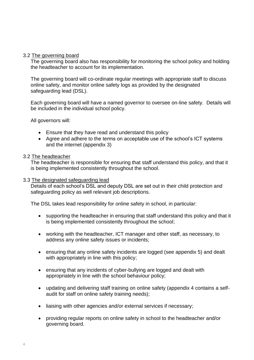#### 3.2 The governing board

The governing board also has responsibility for monitoring the school policy and holding the headteacher to account for its implementation.

The governing board will co-ordinate regular meetings with appropriate staff to discuss online safety, and monitor online safety logs as provided by the designated safeguarding lead (DSL).

Each governing board will have a named governor to oversee on-line safety. Details will be included in the individual school policy.

All governors will:

- Ensure that they have read and understand this policy
- Agree and adhere to the terms on acceptable use of the school's ICT systems and the internet (appendix 3)

#### 3.2 The headteacher

The headteacher is responsible for ensuring that staff understand this policy, and that it is being implemented consistently throughout the school.

#### 3.3 The designated safeguarding lead

Details of each school's DSL and deputy DSL are set out in their child protection and safeguarding policy as well relevant job descriptions.

The DSL takes lead responsibility for online safety in school, in particular:

- supporting the headteacher in ensuring that staff understand this policy and that it is being implemented consistently throughout the school;
- working with the headteacher, ICT manager and other staff, as necessary, to address any online safety issues or incidents;
- ensuring that any online safety incidents are logged (see appendix 5) and dealt with appropriately in line with this policy;
- ensuring that any incidents of cyber-bullying are logged and dealt with appropriately in line with the school behaviour policy;
- updating and delivering staff training on online safety (appendix 4 contains a selfaudit for staff on online safety training needs);
- liaising with other agencies and/or external services if necessary;
- providing regular reports on online safety in school to the headteacher and/or governing board.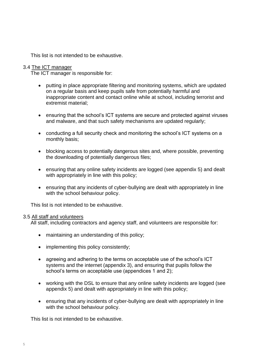This list is not intended to be exhaustive.

#### 3.4 The ICT manager

The ICT manager is responsible for:

- putting in place appropriate filtering and monitoring systems, which are updated on a regular basis and keep pupils safe from potentially harmful and inappropriate content and contact online while at school, including terrorist and extremist material;
- ensuring that the school's ICT systems are secure and protected against viruses and malware, and that such safety mechanisms are updated regularly;
- conducting a full security check and monitoring the school's ICT systems on a monthly basis;
- blocking access to potentially dangerous sites and, where possible, preventing the downloading of potentially dangerous files;
- ensuring that any online safety incidents are logged (see appendix 5) and dealt with appropriately in line with this policy;
- ensuring that any incidents of cyber-bullying are dealt with appropriately in line with the school behaviour policy.

This list is not intended to be exhaustive.

#### 3.5 All staff and volunteers

All staff, including contractors and agency staff, and volunteers are responsible for:

- maintaining an understanding of this policy;
- implementing this policy consistently;
- agreeing and adhering to the terms on acceptable use of the school's ICT systems and the internet (appendix 3), and ensuring that pupils follow the school's terms on acceptable use (appendices 1 and 2);
- working with the DSL to ensure that any online safety incidents are logged (see appendix 5) and dealt with appropriately in line with this policy;
- ensuring that any incidents of cyber-bullying are dealt with appropriately in line with the school behaviour policy.

This list is not intended to be exhaustive.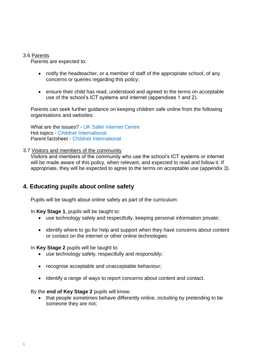#### 3.6 Parents

Parents are expected to:

- notify the headteacher, or a member of staff of the appropriate school, of any concerns or queries regarding this policy;
- ensure their child has read, understood and agreed to the terms on acceptable use of the school's ICT systems and internet (appendices 1 and 2).

Parents can seek further guidance on keeping children safe online from the following organisations and websites:

What are the issues? - [UK Safer Internet Centre](https://www.saferinternet.org.uk/advice-centre/parents-and-carers/what-are-issues) Hot topics - [Childnet International](http://www.childnet.com/parents-and-carers/hot-topics) Parent factsheet - [Childnet International](https://www.childnet.com/resources/parents-and-carers-resource-sheet)

#### 3.7 Visitors and members of the community

Visitors and members of the community who use the school's ICT systems or internet will be made aware of this policy, when relevant, and expected to read and follow it. If appropriate, they will be expected to agree to the terms on acceptable use (appendix 3).

### **4. Educating pupils about online safety**

Pupils will be taught about online safety as part of the curriculum:

In **Key Stage 1**, pupils will be taught to:

- use technology safely and respectfully, keeping personal information private;
- identify where to go for help and support when they have concerns about content or contact on the internet or other online technologies.

In **Key Stage 2** pupils will be taught to:

- use technology safely, respectfully and responsibly;
- recognise acceptable and unacceptable behaviour;
- Identify a range of ways to report concerns about content and contact.

By the **end of Key Stage 2** pupils will know:

• that people sometimes behave differently online, including by pretending to be someone they are not;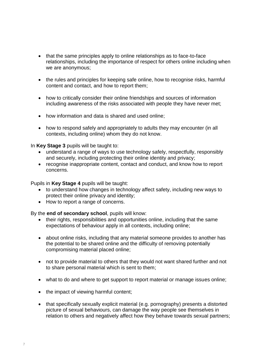- that the same principles apply to online relationships as to face-to-face relationships, including the importance of respect for others online including when we are anonymous;
- the rules and principles for keeping safe online, how to recognise risks, harmful content and contact, and how to report them;
- how to critically consider their online friendships and sources of information including awareness of the risks associated with people they have never met;
- how information and data is shared and used online:
- how to respond safely and appropriately to adults they may encounter (in all contexts, including online) whom they do not know.

In **Key Stage 3** pupils will be taught to:

- understand a range of ways to use technology safely, respectfully, responsibly and securely, including protecting their online identity and privacy;
- recognise inappropriate content, contact and conduct, and know how to report concerns.

Pupils in **Key Stage 4** pupils will be taught:

- to understand how changes in technology affect safety, including new ways to protect their online privacy and identity;
- How to report a range of concerns.

By the **end of secondary school**, pupils will know:

- their rights, responsibilities and opportunities online, including that the same expectations of behaviour apply in all contexts, including online;
- about online risks, including that any material someone provides to another has the potential to be shared online and the difficulty of removing potentially compromising material placed online;
- not to provide material to others that they would not want shared further and not to share personal material which is sent to them;
- what to do and where to get support to report material or manage issues online;
- the impact of viewing harmful content;
- that specifically sexually explicit material (e.g. pornography) presents a distorted picture of sexual behaviours, can damage the way people see themselves in relation to others and negatively affect how they behave towards sexual partners;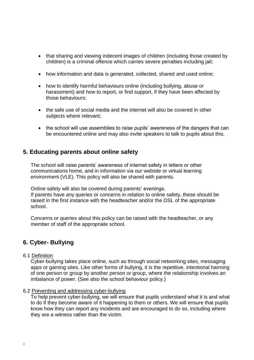- that sharing and viewing indecent images of children (including those created by children) is a criminal offence which carries severe penalties including jail;
- how information and data is generated, collected, shared and used online;
- how to identify harmful behaviours online (including bullying, abuse or harassment) and how to report, or find support, if they have been affected by those behaviours;
- the safe use of social media and the internet will also be covered in other subjects where relevant;
- the school will use assemblies to raise pupils' awareness of the dangers that can be encountered online and may also invite speakers to talk to pupils about this.

## **5. Educating parents about online safety**

The school will raise parents' awareness of internet safety in letters or other communications home, and in information via our website or virtual learning environment (VLE). This policy will also be shared with parents.

Online safety will also be covered during parents' evenings. If parents have any queries or concerns in relation to online safety, these should be raised in the first instance with the headteacher and/or the DSL of the appropriate school.

Concerns or queries about this policy can be raised with the headteacher, or any member of staff of the appropriate school.

## **6. Cyber- Bullying**

#### 6.1 Definition

Cyber-bullying takes place online, such as through social networking sites, messaging apps or gaming sites. Like other forms of bullying, it is the repetitive, intentional harming of one person or group by another person or group, where the relationship involves an imbalance of power. (See also the school behaviour policy.)

#### 6.2 Preventing and addressing cyber-bullying

To help prevent cyber-bullying, we will ensure that pupils understand what it is and what to do if they become aware of it happening to them or others. We will ensure that pupils know how they can report any incidents and are encouraged to do so, including where they are a witness rather than the victim.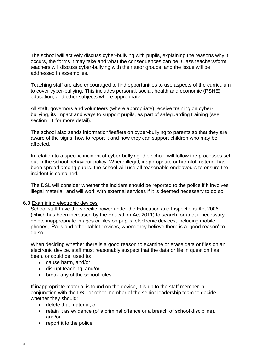The school will actively discuss cyber-bullying with pupils, explaining the reasons why it occurs, the forms it may take and what the consequences can be. Class teachers/form teachers will discuss cyber-bullying with their tutor groups, and the issue will be addressed in assemblies.

Teaching staff are also encouraged to find opportunities to use aspects of the curriculum to cover cyber-bullying. This includes personal, social, health and economic (PSHE) education, and other subjects where appropriate.

All staff, governors and volunteers (where appropriate) receive training on cyberbullying, its impact and ways to support pupils, as part of safeguarding training (see section 11 for more detail).

The school also sends information/leaflets on cyber-bullying to parents so that they are aware of the signs, how to report it and how they can support children who may be affected.

In relation to a specific incident of cyber-bullying, the school will follow the processes set out in the school behaviour policy. Where illegal, inappropriate or harmful material has been spread among pupils, the school will use all reasonable endeavours to ensure the incident is contained.

The DSL will consider whether the incident should be reported to the police if it involves illegal material, and will work with external services if it is deemed necessary to do so.

#### 6.3 Examining electronic devices

School staff have the specific power under the Education and Inspections Act 2006 (which has been increased by the Education Act 2011) to search for and, if necessary, delete inappropriate images or files on pupils' electronic devices, including mobile phones, iPads and other tablet devices, where they believe there is a 'good reason' to do so.

When deciding whether there is a good reason to examine or erase data or files on an electronic device, staff must reasonably suspect that the data or file in question has been, or could be, used to:

- cause harm, and/or
- disrupt teaching, and/or
- break any of the school rules

If inappropriate material is found on the device, it is up to the staff member in conjunction with the DSL or other member of the senior leadership team to decide whether they should:

- delete that material, or
- retain it as evidence (of a criminal offence or a breach of school discipline), and/or
- report it to the police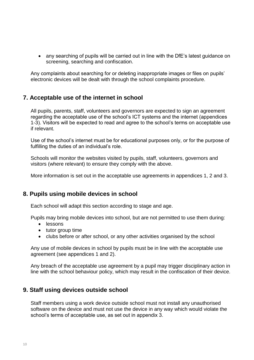• any searching of pupils will be carried out in line with the DfE's latest guidance on [screening, searching and confiscation.](https://www.gov.uk/government/publications/searching-screening-and-confiscation)

Any complaints about searching for or deleting inappropriate images or files on pupils' electronic devices will be dealt with through the school complaints procedure.

## **7. Acceptable use of the internet in school**

All pupils, parents, staff, volunteers and governors are expected to sign an agreement regarding the acceptable use of the school's ICT systems and the internet (appendices 1-3). Visitors will be expected to read and agree to the school's terms on acceptable use if relevant.

Use of the school's internet must be for educational purposes only, or for the purpose of fulfilling the duties of an individual's role.

Schools will monitor the websites visited by pupils, staff, volunteers, governors and visitors (where relevant) to ensure they comply with the above.

More information is set out in the acceptable use agreements in appendices 1, 2 and 3.

## **8. Pupils using mobile devices in school**

Each school will adapt this section according to stage and age.

Pupils may bring mobile devices into school, but are not permitted to use them during:

- lessons
- tutor group time
- clubs before or after school, or any other activities organised by the school

Any use of mobile devices in school by pupils must be in line with the acceptable use agreement (see appendices 1 and 2).

Any breach of the acceptable use agreement by a pupil may trigger disciplinary action in line with the school behaviour policy, which may result in the confiscation of their device.

## **9. Staff using devices outside school**

Staff members using a work device outside school must not install any unauthorised software on the device and must not use the device in any way which would violate the school's terms of acceptable use, as set out in appendix 3.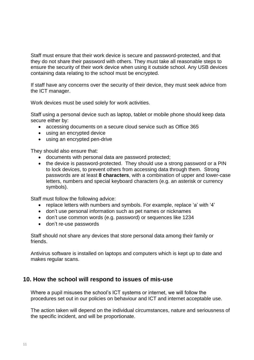Staff must ensure that their work device is secure and password-protected, and that they do not share their password with others. They must take all reasonable steps to ensure the security of their work device when using it outside school. Any USB devices containing data relating to the school must be encrypted.

If staff have any concerns over the security of their device, they must seek advice from the ICT manager.

Work devices must be used solely for work activities.

Staff using a personal device such as laptop, tablet or mobile phone should keep data secure either by:

- accessing documents on a secure cloud service such as Office 365
- using an encrypted device
- using an encrypted pen-drive

They should also ensure that:

- documents with personal data are password protected;
- the device is password-protected. They should use a strong password or a PIN to lock devices, to prevent others from accessing data through them. Strong passwords are at least **8 characters**, with a combination of upper and lower-case letters, numbers and special keyboard characters (e.g. an asterisk or currency symbols).

Staff must follow the following advice:

- replace letters with numbers and symbols. For example, replace 'a' with '4'
- don't use personal information such as pet names or nicknames
- don't use common words (e.g. password) or sequences like 1234
- don't re-use passwords

Staff should not share any devices that store personal data among their family or friends.

Antivirus software is installed on laptops and computers which is kept up to date and makes regular scans.

### **10. How the school will respond to issues of mis-use**

Where a pupil misuses the school's ICT systems or internet, we will follow the procedures set out in our policies on behaviour and ICT and internet acceptable use.

The action taken will depend on the individual circumstances, nature and seriousness of the specific incident, and will be proportionate.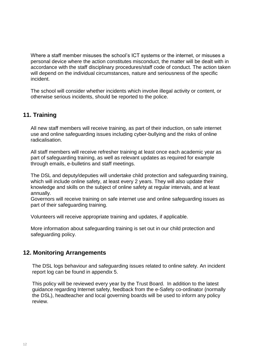Where a staff member misuses the school's ICT systems or the internet, or misuses a personal device where the action constitutes misconduct, the matter will be dealt with in accordance with the staff disciplinary procedures/staff code of conduct. The action taken will depend on the individual circumstances, nature and seriousness of the specific incident.

The school will consider whether incidents which involve illegal activity or content, or otherwise serious incidents, should be reported to the police.

## **11. Training**

All new staff members will receive training, as part of their induction, on safe internet use and online safeguarding issues including cyber-bullying and the risks of online radicalisation.

All staff members will receive refresher training at least once each academic year as part of safeguarding training, as well as relevant updates as required for example through emails, e-bulletins and staff meetings.

The DSL and deputy/deputies will undertake child protection and safeguarding training, which will include online safety, at least every 2 years. They will also update their knowledge and skills on the subject of online safety at regular intervals, and at least annually.

Governors will receive training on safe internet use and online safeguarding issues as part of their safeguarding training.

Volunteers will receive appropriate training and updates, if applicable.

More information about safeguarding training is set out in our child protection and safeguarding policy.

## **12. Monitoring Arrangements**

The DSL logs behaviour and safeguarding issues related to online safety. An incident report log can be found in appendix 5.

This policy will be reviewed every year by the Trust Board. In addition to the latest guidance regarding Internet safety, feedback from the e-Safety co-ordinator (normally the DSL), headteacher and local governing boards will be used to inform any policy review.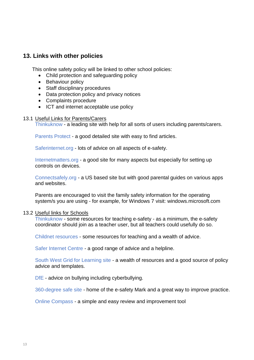## **13. Links with other policies**

This online safety policy will be linked to other school policies:

- Child protection and safeguarding policy
- Behaviour policy
- Staff disciplinary procedures
- Data protection policy and privacy notices
- Complaints procedure
- ICT and internet acceptable use policy

#### 13.1 Useful Links for Parents/Carers

Thinkuknow - [a leading site with help for all sorts of users including parents/carers.](https://www.thinkuknow.co.uk/parents/)

Parents Protect - [a good detailed site with easy to find articles.](http://www.parentsprotect.co.uk/)

Saferinternet.org - [lots of advice on all aspects of e-safety.](http://www.saferinternet.org.uk/advice-and-resources/parents-and-carers)

[Internetmatters.org](http://www.internetmatters.org/controls/interactive-guide/) - a good site for many aspects but especially for setting up controls on devices.

[Connectsafely.org](http://www.connectsafely.org/) - a US based site but with good parental guides on various apps and websites.

Parents are encouraged to visit the family safety information for the operating system/s you are using - for example, for Windows 7 visit: [windows.microsoft.com](http://windows.microsoft.com/en-gb/windows/set-up-family-safety#set-up-family-safety=windows-7)

#### 13.2 Useful links for Schools

[Thinkuknow](http://www.thinkuknow.co.uk/) - some resources for teaching e-safety - as a minimum, the e-safety coordinator should join as a teacher user, but all teachers could usefully do so.

[Childnet resources](http://www.childnet.com/resources/kia) - some resources for teaching and a wealth of advice.

[Safer Internet Centre](http://www.saferinternet.org.uk/) - a good range of advice and a helpline.

[South West Grid for Learning site](http://swgfl.org.uk/) - a wealth of resources and a good source of policy advice and templates.

DfE - [advice](https://www.gov.uk/government/publications/preventing-and-tackling-bullying) on bullying including cyberbullying.

[360-degree](http://www.360safe.org.uk/) safe site - home of the e-safety Mark and a great way to improve practice.

[Online Compass](http://www.onlinecompass.org.uk/) - a simple and easy review and improvement tool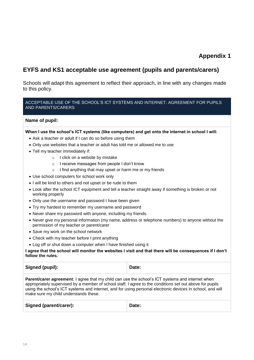## **EYFS and KS1 acceptable use agreement (pupils and parents/carers)**

Schools will adapt this agreement to reflect their approach, in line with any changes made to this policy.

#### ACCEPTABLE USE OF THE SCHOOL'S ICT SYSTEMS AND INTERNET: AGREEMENT FOR PUPILS AND PARENTS/CARERS

#### **Name of pupil:**

**When I use the school's ICT systems (like computers) and get onto the internet in school I will:**

- Ask a teacher or adult if I can do so before using them
- Only use websites that a teacher or adult has told me or allowed me to use
- Tell my teacher immediately if:
	- o I click on a website by mistake
	- o I receive messages from people I don't know
	- o I find anything that may upset or harm me or my friends
- Use school computers for school work only
- I will be kind to others and not upset or be rude to them
- Look after the school ICT equipment and tell a teacher straight away if something is broken or not working properly
- Only use the username and password I have been given
- Try my hardest to remember my username and password
- Never share my password with anyone, including my friends.
- Never give my personal information (my name, address or telephone numbers) to anyone without the permission of my teacher or parent/carer
- Save my work on the school network
- Check with my teacher before I print anything
- Log off or shut down a computer when I have finished using it

**I agree that the school will monitor the websites I visit and that there will be consequences if I don't follow the rules.**

| Signed (pupil): | Date: |
|-----------------|-------|
|-----------------|-------|

**Parent/carer agreement:** I agree that my child can use the school's ICT systems and internet when appropriately supervised by a member of school staff. I agree to the conditions set out above for pupils using the school's ICT systems and internet, and for using personal electronic devices in school, and will make sure my child understands these.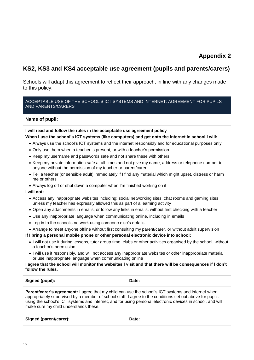## **KS2, KS3 and KS4 acceptable use agreement (pupils and parents/carers)**

Schools will adapt this agreement to reflect their approach, in line with any changes made to this policy.

#### ACCEPTABLE USE OF THE SCHOOL'S ICT SYSTEMS AND INTERNET: AGREEMENT FOR PUPILS AND PARENTS/CARERS

#### **Name of pupil:**

#### **I will read and follow the rules in the acceptable use agreement policy**

#### **When I use the school's ICT systems (like computers) and get onto the internet in school I will:**

- Always use the school's ICT systems and the internet responsibly and for educational purposes only
- Only use them when a teacher is present, or with a teacher's permission
- Keep my username and passwords safe and not share these with others
- Keep my private information safe at all times and not give my name, address or telephone number to anyone without the permission of my teacher or parent/carer
- Tell a teacher (or sensible adult) immediately if I find any material which might upset, distress or harm me or others
- Always log off or shut down a computer when I'm finished working on it

#### **I will not:**

- Access any inappropriate websites including: social networking sites, chat rooms and gaming sites unless my teacher has expressly allowed this as part of a learning activity
- Open any attachments in emails, or follow any links in emails, without first checking with a teacher
- Use any inappropriate language when communicating online, including in emails
- Log in to the school's network using someone else's details
- Arrange to meet anyone offline without first consulting my parent/carer, or without adult supervision

#### **If I bring a personal mobile phone or other personal electronic device into school:**

- I will not use it during lessons, tutor group time, clubs or other activities organised by the school, without a teacher's permission
- I will use it responsibly, and will not access any inappropriate websites or other inappropriate material or use inappropriate language when communicating online

#### **I agree that the school will monitor the websites I visit and that there will be consequences if I don't follow the rules.**

| Signed (pupil): | Date: |
|-----------------|-------|
|                 |       |

**Parent/carer's agreement:** I agree that my child can use the school's ICT systems and internet when appropriately supervised by a member of school staff. I agree to the conditions set out above for pupils using the school's ICT systems and internet, and for using personal electronic devices in school, and will make sure my child understands these.

| Signed (parent/carer): | Date: |
|------------------------|-------|
|                        |       |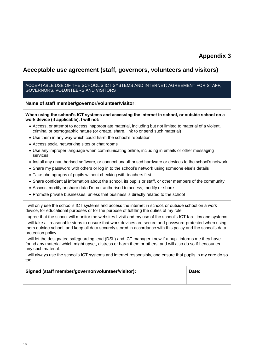## **Acceptable use agreement (staff, governors, volunteers and visitors)**

#### ACCEPTABLE USE OF THE SCHOOL'S ICT SYSTEMS AND INTERNET: AGREEMENT FOR STAFF, GOVERNORS, VOLUNTEERS AND VISITORS

**Name of staff member/governor/volunteer/visitor:**

#### **When using the school's ICT systems and accessing the internet in school, or outside school on a work device (if applicable), I will not:**

- Access, or attempt to access inappropriate material, including but not limited to material of a violent, criminal or pornographic nature (or create, share, link to or send such material)
- Use them in any way which could harm the school's reputation
- Access social networking sites or chat rooms
- Use any improper language when communicating online, including in emails or other messaging services
- Install any unauthorised software, or connect unauthorised hardware or devices to the school's network
- Share my password with others or log in to the school's network using someone else's details
- Take photographs of pupils without checking with teachers first
- Share confidential information about the school, its pupils or staff, or other members of the community
- Access, modify or share data I'm not authorised to access, modify or share
- Promote private businesses, unless that business is directly related to the school

I will only use the school's ICT systems and access the internet in school, or outside school on a work device, for educational purposes or for the purpose of fulfilling the duties of my role.

I agree that the school will monitor the websites I visit and my use of the school's ICT facilities and systems. I will take all reasonable steps to ensure that work devices are secure and password-protected when using them outside school, and keep all data securely stored in accordance with this policy and the school's data protection policy.

I will let the designated safeguarding lead (DSL) and ICT manager know if a pupil informs me they have found any material which might upset, distress or harm them or others, and will also do so if I encounter any such material.

I will always use the school's ICT systems and internet responsibly, and ensure that pupils in my care do so too.

#### **Signed (staff member/governor/volunteer/visitor): Date:**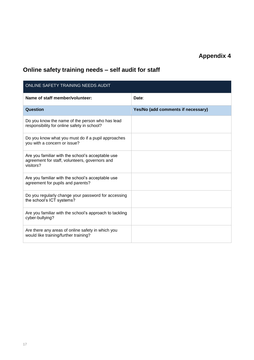## **Online safety training needs – self audit for staff**

| ONLINE SAFETY TRAINING NEEDS AUDIT                                                                               |                                    |  |  |
|------------------------------------------------------------------------------------------------------------------|------------------------------------|--|--|
| Name of staff member/volunteer:                                                                                  | Date:                              |  |  |
| Question                                                                                                         | Yes/No (add comments if necessary) |  |  |
| Do you know the name of the person who has lead<br>responsibility for online safety in school?                   |                                    |  |  |
| Do you know what you must do if a pupil approaches<br>you with a concern or issue?                               |                                    |  |  |
| Are you familiar with the school's acceptable use<br>agreement for staff, volunteers, governors and<br>visitors? |                                    |  |  |
| Are you familiar with the school's acceptable use<br>agreement for pupils and parents?                           |                                    |  |  |
| Do you regularly change your password for accessing<br>the school's ICT systems?                                 |                                    |  |  |
| Are you familiar with the school's approach to tackling<br>cyber-bullying?                                       |                                    |  |  |
| Are there any areas of online safety in which you<br>would like training/further training?                       |                                    |  |  |